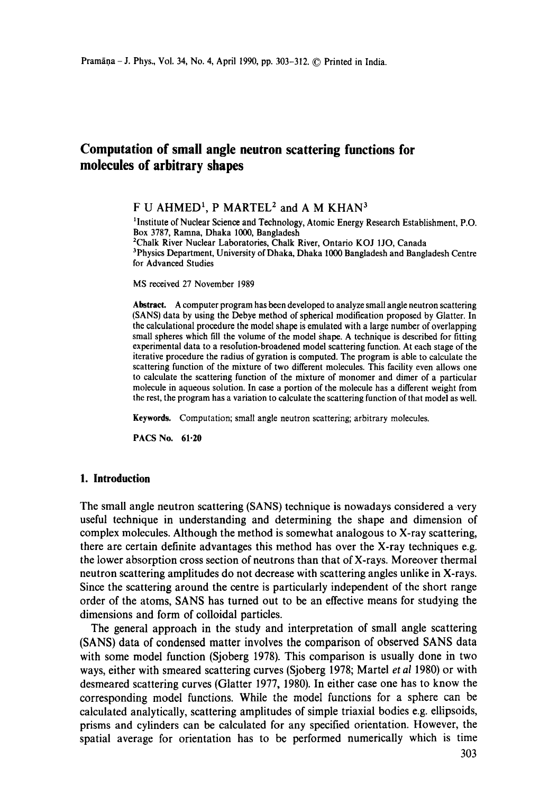# **Computation of small angle neutron scattering functions for molecules of arbitrary shapes**

F U AHMED<sup>1</sup>, P MARTEL<sup>2</sup> and A M KHAN<sup>3</sup>

<sup>1</sup>Institute of Nuclear Science and Technology, Atomic Energy Research Establishment, P.O. Box 3787, Ramna, Dhaka 1000, Bangladesh 2Chalk River Nuclear Laboratories, Chalk River, Ontario KOJ 1JO, Canada <sup>3</sup>Physics Department, University of Dhaka, Dhaka 1000 Bangladesh and Bangladesh Centre for Advanced Studies

MS received 27 November 1989

**Abstract.** A computer program has been developed to analyze small angle neutron scattering (SANS) data by using the Debye method of spherical modification proposed by Glatter. In the calculational procedure the model shape is emulated with a large number of overlapping small spheres which fill the volume of the model shape. A technique is described for fitting experimental data to a resolution-broadened model scattering function. At each stage of **the**  iterative procedure the radius of gyration is computed. The program is able to calculate the scattering function of the mixture of two different molecules. This facility even allows one to calculate the scattering function of the mixture of monomer and dimer of a particular molecule in aqueous solution. In ease a portion of the molecule has a different weight from the rest, the program has a variation to calculate the scattering function of that model as well.

Keywords. Computation; small angle neutron scattering; arbitrary molecules.

**PACS No. 61.20** 

### **I. Introduction**

The small angle neutron scattering (SANS) technique is nowadays considered a very useful technique in understanding and determining the shape and dimension of complex molecules. Although the method is somewhat analogous to X-ray scattering, there are certain definite advantages this method has over the X-ray techniques e.g. the lower absorption cross section of neutrons than that of X-rays. Moreover thermal neutron scattering amplitudes do not decrease with scattering angles unlike in X-rays. Since the scattering around the centre is particularly independent of the short range order of the atoms, SANS has turned out to be an effective means for studying the dimensions and form of colloidal particles.

The general approach in the study and interpretation of small angle scattering (SANS) data of condensed matter involves the comparison of observed SANS data with some model function (Sjoberg 1978). This comparison is usually done in two ways, either with smeared scattering curves (Sjoberg 1978; Martel *et al* 1980) or with desmeared scattering curves (Glatter 1977, 1980). In either case one has to know the corresponding model functions. While the model functions for a sphere can be calculated analytically, scattering amplitudes of simple triaxial bodies e.g. ellipsoids, prisms and cylinders can be calculated for any specified orientation. However, the spatial average for orientation has to be performed numerically which is time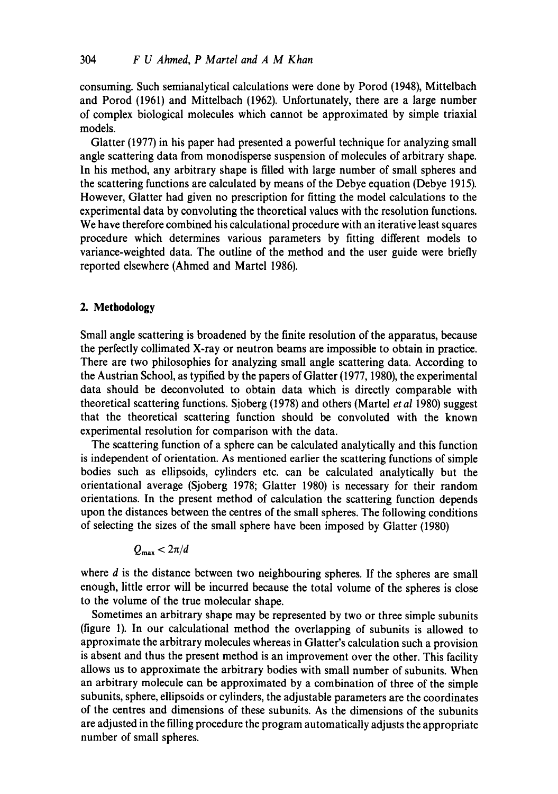consuming. Such semianalytical calculations were done by Porod (1948), Mittelbach and Porod (1961) and Mittelbach (1962). Unfortunately, there are a large number of complex biological molecules which cannot be approximated by simple triaxial models.

Glatter (1977) in his paper had presented a powerful technique for analyzing small angle scattering data from monodisperse suspension of molecules of arbitrary shape. In his method, any arbitrary shape is filled with large number of small spheres and the scattering functions are calculated by means of the Debye equation (Debye 1915). However, Glatter had given no prescription for fitting the model calculations to the experimental data by convoluting the theoretical values with the resolution functions. We have therefore combined his calculational procedure with an iterative least squares procedure which determines various parameters by fitting different models to variance-weighted data. The outline of the method and the user guide were briefly reported elsewhere (Ahmed and Martel 1986).

## **2. Methodology**

Small angle scattering is broadened by the finite resolution of the apparatus, because the perfectly collimated X-ray or neutron beams are impossible to obtain in practice. There are two philosophies for analyzing small angle scattering data. According to the Austrian School, as typified by the papers of Glatter (1977, 1980), the experimental data should be deconvoluted to obtain data which is directly comparable with theoretical scattering functions. Sioberg (1978) and others (Martel *et al* 1980) suggest that the theoretical scattering function should be convoluted with the known experimental resolution for comparison with the data.

The scattering function of a sphere can be calculated analytically and this function is independent of orientation. As mentioned earlier the scattering functions of simple bodies such as ellipsoids, cylinders etc. can be calculated analytically but the orientational average (Sjoberg 1978; Glatter 1980) is necessary for their random orientations. In the present method of calculation the scattering function depends upon the distances between the centres of the small spheres. The following conditions of selecting the sizes of the small sphere have been imposed by Glatter (1980)

$$
Q_{\max} < 2\pi/d
$$

where  $d$  is the distance between two neighbouring spheres. If the spheres are small enough, little error will be incurred because the total volume of the spheres is close to the volume of the true molecular shape.

Sometimes an arbitrary shape may be represented by two or three simple subunits (figure 1). In our calculational method the overlapping of subunits is allowed to approximate the arbitrary molecules whereas in Glatter's calculation such a provision is absent and thus the present method is an improvement over the other. This facility allows us to approximate the arbitrary bodies with small number of subunits. When an arbitrary molecule can be approximated by a combination of three of the simple subunits, sphere, ellipsoids or cylinders, the adjustable parameters are the coordinates of the centres and dimensions of these subunits. As the dimensions of the subunits are adjusted in the filling procedure the program automatically adjusts the appropriate number of small spheres.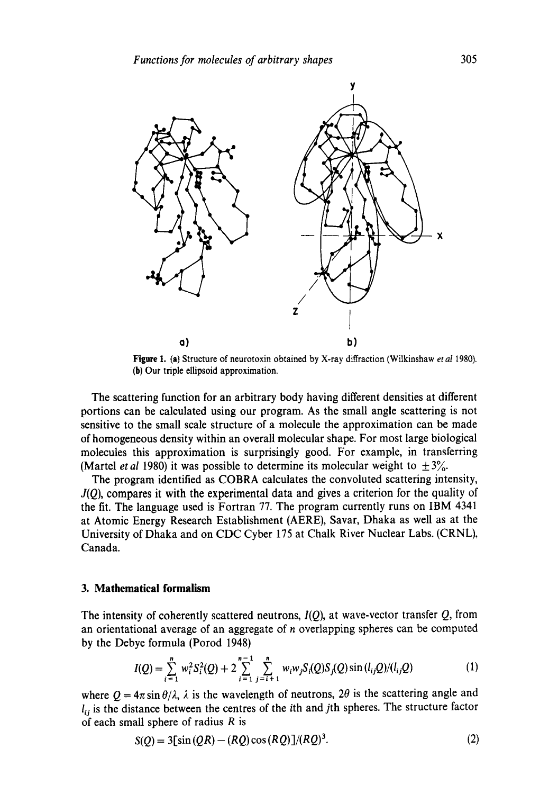

**Figure** 1. (a) Structure of neurotoxin obtained by X-ray diffraction (Wilkinshaw *et a11980).*  (b) Our triple ellipsoid approximation.

The scattering function for an arbitrary body having different densities at different portions can be calculated using our program. As the small angle scattering is not sensitive to the small scale structure of a molecule the approximation can be made of homogeneous density within an overall molecular shape. For most large biological molecules this approximation is surprisingly good. For example, in transferring (Martel *et al* 1980) it was possible to determine its molecular weight to  $\pm 3\%$ .

The program identified as COBRA calculates the convoluted scattering intensity, *J(Q),* compares it with the experimental data and gives a criterion for the quality of the fit. The language used is Fortran 77. The program currently runs on IBM 4341 at Atomic Energy Research Establishment (AERE), Savar, Dhaka as well as at the University of Dhaka and on CDC Cyber 175 at Chalk River Nuclear Labs. (CRNL), Canada.

### **3. Mathematical formalism**

The intensity of coherently scattered neutrons,  $I(Q)$ , at wave-vector transfer  $Q$ , from an orientational average of an aggregate of n overlapping spheres can be computed by the Debye formula (Porod 1948)

$$
I(Q) = \sum_{i=1}^{n} w_i^2 S_i^2(Q) + 2 \sum_{i=1}^{n-1} \sum_{j=i+1}^{n} w_i w_j S_i(Q) S_j(Q) \sin(l_{ij}Q) / (l_{ij}Q)
$$
(1)

where  $Q = 4\pi \sin \theta / \lambda$ ,  $\lambda$  is the wavelength of neutrons,  $2\theta$  is the scattering angle and  $l_{ij}$  is the distance between the centres of the ith and jth spheres. The structure factor of each small sphere of radius  $R$  is

$$
S(Q) = 3[sin(QR) - (RQ)\cos(RQ)]/(RQ)^3.
$$
 (2)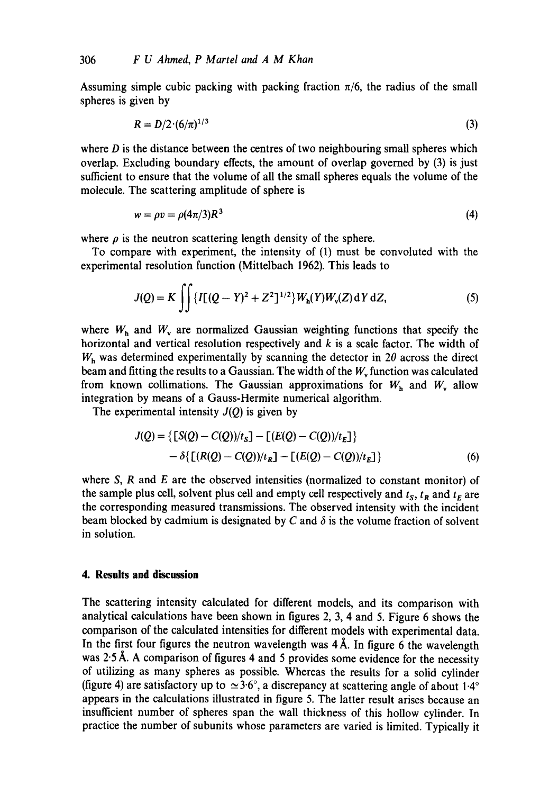Assuming simple cubic packing with packing fraction  $\pi/6$ , the radius of the small spheres is given by

$$
R = D/2 \cdot (6/\pi)^{1/3} \tag{3}
$$

where  $D$  is the distance between the centres of two neighbouring small spheres which overlap. Excluding boundary effects, the amount of overlap governed by (3) is just sufficient to ensure that the volume of all the small spheres equals the volume of the molecule. The scattering amplitude of sphere is

$$
w = \rho v = \rho (4\pi/3) R^3 \tag{4}
$$

where  $\rho$  is the neutron scattering length density of the sphere.

To compare with experiment, the intensity of (1) must be convoluted with the experimental resolution function (Mittelbach 1962). This leads to

$$
J(Q) = K \iint \{I[(Q - Y)^2 + Z^2]^{1/2}\} W_{\rm h}(Y) W_{\rm v}(Z) \, dY \, dZ,\tag{5}
$$

where  $W_h$  and  $W_v$  are normalized Gaussian weighting functions that specify the horizontal and vertical resolution respectively and  $k$  is a scale factor. The width of  $W<sub>h</sub>$  was determined experimentally by scanning the detector in 2 $\theta$  across the direct beam and fitting the results to a Gaussian. The width of the  $W_{\rm v}$  function was calculated from known collimations. The Gaussian approximations for  $W_h$  and  $W_s$  allow integration by means of a Gauss-Hermite numerical algorithm.

The experimental intensity  $J(Q)$  is given by

$$
J(Q) = \{ [S(Q) - C(Q))/t_S] - [(E(Q) - C(Q))/t_E] \}
$$
  
-  $\delta \{ [(R(Q) - C(Q))/t_R] - [(E(Q) - C(Q))/t_E] \}$  (6)

where S, R and E are the observed intensities (normalized to constant monitor) of the sample plus cell, solvent plus cell and empty cell respectively and  $t_S$ ,  $t_R$  and  $t_E$  are the corresponding measured transmissions. The observed intensity with the incident beam blocked by cadmium is designated by C and  $\delta$  is the volume fraction of solvent in solution.

# **4. Results and discussion**

The scattering intensity calculated for different models, and its comparison with analytical calculations have been shown in figures 2, 3, 4 and 5. Figure 6 shows the comparison of the calculated intensities for different models with experimental data. In the first four figures the neutron wavelength was  $4 \text{\AA}$ . In figure 6 the wavelength was 2.5 Å. A comparison of figures 4 and 5 provides some evidence for the necessity of utilizing as many spheres as possible. Whereas the results for a solid cylinder (figure 4) are satisfactory up to  $\simeq$  3.6°, a discrepancy at scattering angle of about 1.4° appears in the calculations illustrated in figure 5. The latter result arises because an insufficient number of spheres span the wall thickness of this hollow cylinder. In practice the number of subunits whose parameters are varied is limited. Typically it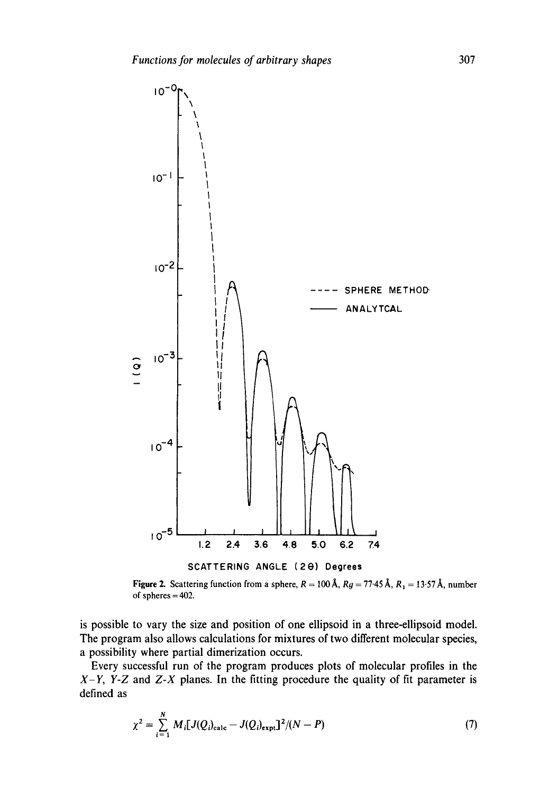

Figure 2. Scattering function from a sphere,  $R = 100 \text{ Å}$ ,  $Rg = 77.45 \text{ Å}$ ,  $R_1 = 13.57 \text{ Å}$ , number of spheres = 402.

is possible to vary the size and position of one ellipsoid in a three-ellipsoid model. The program also allows calculations for mixtures of two different molecular species, a possibility where partial dimerization occurs.

Every successful run of the program produces plots of molecular profiles in the *X-Y, Y-Z* and *Z-X* planes. In the fitting procedure the quality of fit parameter is defined as

$$
\chi^2 = \sum_{i=1}^{N} M_i [J(Q_i)_{\text{calc}} - J(Q_i)_{\text{expt}}]^2 / (N - P) \tag{7}
$$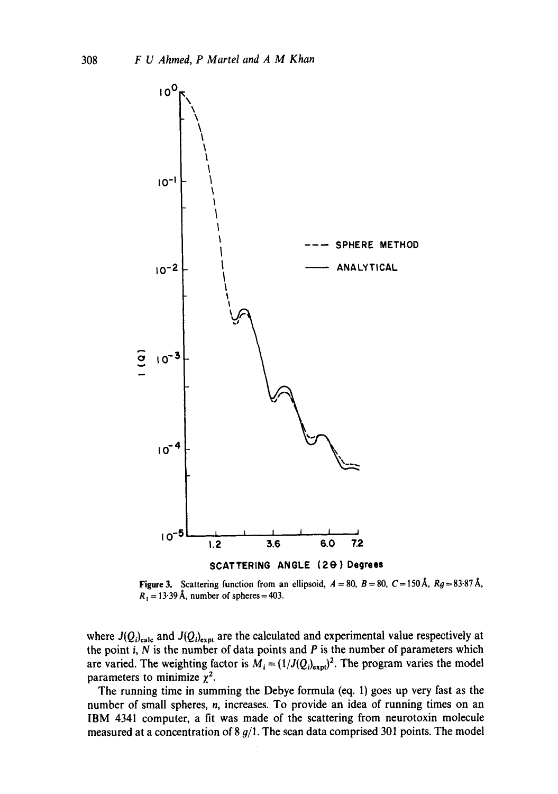

Figure 3. Scattering function from an ellipsoid,  $A = 80$ ,  $B = 80$ ,  $C = 150 \text{ Å}$ ,  $Rg = 83.87 \text{ Å}$ ,  $R_1 = 13.39$  Å, number of spheres = 403.

where  $J(Q_i)_{\text{calc}}$  and  $J(Q_i)_{\text{expt}}$  are the calculated and experimental value respectively at the point  $i$ ,  $N$  is the number of data points and  $P$  is the number of parameters which are varied. The weighting factor is  $M_i = (1/J(Q_i)_{exp})^2$ . The program varies the model parameters to minimize  $\chi^2$ .

The running time in summing the Debye formula (eq. 1) goes up very fast as the number of small spheres, n, increases. To provide an idea of running times on an IBM 4341 computer, a fit was made of the scattering from neurotoxin molecule measured at a concentration of 8  $g/1$ . The scan data comprised 301 points. The model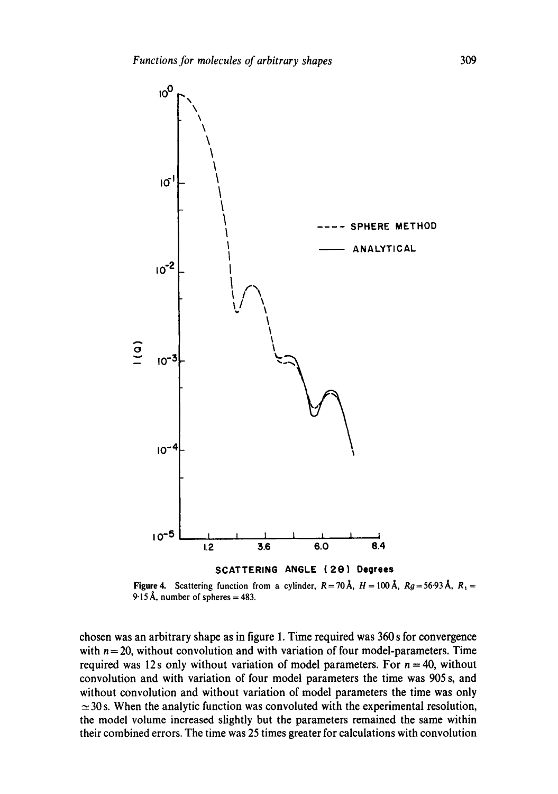

Figure 4. Scattering function from a cylinder,  $R = 70 \text{ Å}$ ,  $H = 100 \text{ Å}$ ,  $R_g = 56.93 \text{ Å}$ ,  $R_1 =$ 9.15 Å, number of spheres  $= 483$ .

chosen was an arbitrary shape as in figure 1. Time required was 360 s for convergence with  $n = 20$ , without convolution and with variation of four model-parameters. Time required was 12s only without variation of model parameters. For  $n = 40$ , without convolution and with variation of four model parameters the time was 905 s, and without convolution and without variation of model parameters the time was only  $\approx$  30s. When the analytic function was convoluted with the experimental resolution, the model volume increased slightly but the parameters remained the same within their combined errors. The time was 25 times greater for calculations with convolution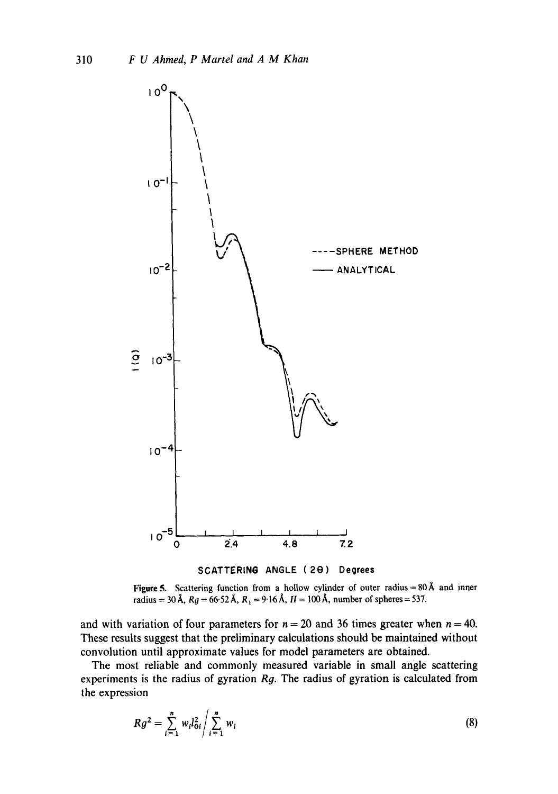



and with variation of four parameters for  $n = 20$  and 36 times greater when  $n = 40$ . These results suggest that the preliminary calculations should be maintained without convolution until approximate values for model parameters are obtained.

The most reliable and commonly measured variable in small angle scattering experiments is the radius of gyration *Rg.* The radius of gyration is calculated from the expression

$$
Rg^2 = \sum_{i=1}^n w_i l_{0i}^2 / \sum_{i=1}^n w_i
$$
 (8)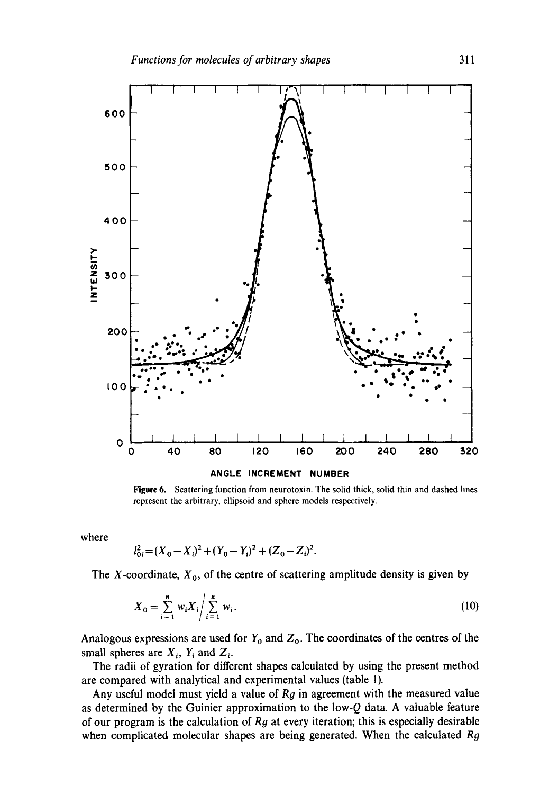

#### **ANGLE INCREMENT NUMBER**

**Figure** 6. Scattering function from neurotoxin. The solid thick, solid thin and dashed lines represent the arbitrary, ellipsoid and sphere models respectively.

where

$$
l_{0i}^{2} = (X_{0} - X_{i})^{2} + (Y_{0} - Y_{i})^{2} + (Z_{0} - Z_{i})^{2}.
$$

The X-coordinate,  $X_0$ , of the centre of scattering amplitude density is given by

$$
X_0 = \sum_{i=1}^n w_i X_i / \sum_{i=1}^n w_i.
$$
 (10)

Analogous expressions are used for  $Y_0$  and  $Z_0$ . The coordinates of the centres of the small spheres are  $X_i$ ,  $Y_i$  and  $Z_i$ .

The radii of gyration for different shapes calculated by using the present method are compared with analytical and experimental values (table 1).

Any useful model must yield a value of Rg in agreement with the measured value as determined by the Guinier approximation to the low-Q data. A valuable feature of our program is the calculation of  $Rg$  at every iteration; this is especially desirable when complicated molecular shapes are being generated. When the calculated  $Rg$